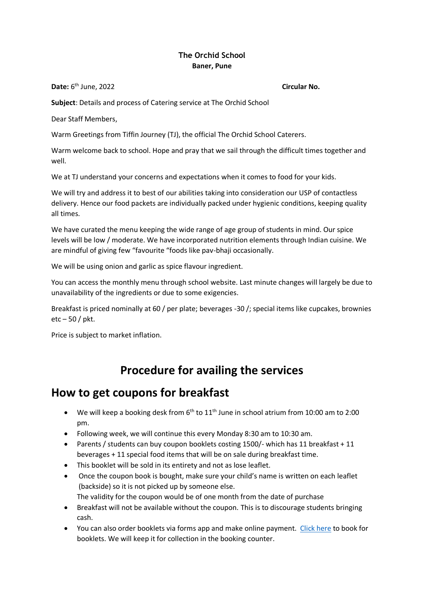#### **The Orchid School Baner, Pune**

**Date:** 6 th June, 2022 **Circular No.**

**Subject**: Details and process of Catering service at The Orchid School

Dear Staff Members,

Warm Greetings from Tiffin Journey (TJ), the official The Orchid School Caterers.

Warm welcome back to school. Hope and pray that we sail through the difficult times together and well.

We at TJ understand your concerns and expectations when it comes to food for your kids.

We will try and address it to best of our abilities taking into consideration our USP of contactless delivery. Hence our food packets are individually packed under hygienic conditions, keeping quality all times.

We have curated the menu keeping the wide range of age group of students in mind. Our spice levels will be low / moderate. We have incorporated nutrition elements through Indian cuisine. We are mindful of giving few "favourite "foods like pav-bhaji occasionally.

We will be using onion and garlic as spice flavour ingredient.

You can access the monthly menu through school website. Last minute changes will largely be due to unavailability of the ingredients or due to some exigencies.

Breakfast is priced nominally at 60 / per plate; beverages -30 /; special items like cupcakes, brownies etc – 50 / pkt.

Price is subject to market inflation.

# **Procedure for availing the services**

### **How to get coupons for breakfast**

- $\bullet$  We will keep a booking desk from 6<sup>th</sup> to 11<sup>th</sup> June in school atrium from 10:00 am to 2:00 pm.
- Following week, we will continue this every Monday 8:30 am to 10:30 am.
- Parents / students can buy coupon booklets costing 1500/- which has 11 breakfast + 11 beverages + 11 special food items that will be on sale during breakfast time.
- This booklet will be sold in its entirety and not as lose leaflet.
- Once the coupon book is bought, make sure your child's name is written on each leaflet (backside) so it is not picked up by someone else. The validity for the coupon would be of one month from the date of purchase
- Breakfast will not be available without the coupon. This is to discourage students bringing cash.
- You can also order booklets via forms app and make online payment. [Click here](https://my.forms.app/form/61a75a4508d225089be8949a) to book for booklets. We will keep it for collection in the booking counter.